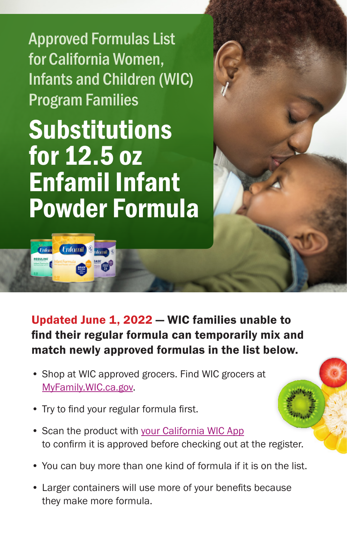Approved Formulas List for California Women, Infants and Children (WIC) Program Families

Substitutions for 12.5 oz Enfamil Infant Powder Formula

**Enfamil** 

*Cnton* 

Updated June 1, 2022 — WIC families unable to find their regular formula can temporarily mix and match newly approved formulas in the list below.

- Shop at WIC approved grocers. Find WIC grocers at [MyFamily.WIC.ca.gov.](http://MyFamily.WIC.ca.gov)
- Try to find your regular formula first.
- Scan the product with [your California WIC App](https://www.myfamily.wic.ca.gov/Home/WICApp#WICApp) to confirm it is approved before checking out at the register.
- You can buy more than one kind of formula if it is on the list.
- Larger containers will use more of your benefits because they make more formula.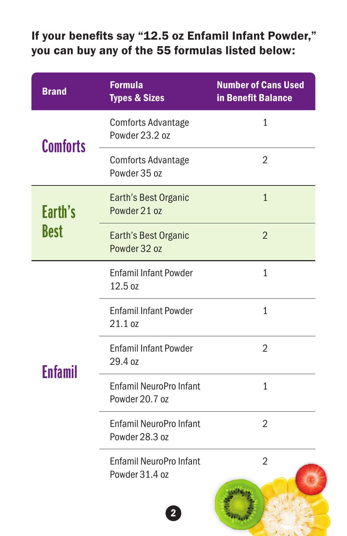## If your benefits say "12.5 oz Enfamil Infant Powder," you can buy any of the 55 formulas listed below:

| <b>Brand</b>           | <b>Formula</b><br><b>Types &amp; Sizes</b>       | <b>Number of Cans Used</b><br><b>in Benefit Balance</b> |
|------------------------|--------------------------------------------------|---------------------------------------------------------|
| <b>Comforts</b>        | <b>Comforts Advantage</b><br>Powder 23.2 oz      | $\mathbf{1}$                                            |
|                        | <b>Comforts Advantage</b><br>Powder 35 oz        | $\overline{2}$                                          |
| Earth's<br><b>Best</b> | Earth's Best Organic<br>Powder 21 oz             | $\mathbf{1}$                                            |
|                        | Earth's Best Organic<br>Powder 32 oz             | $\overline{2}$                                          |
| Enfamil                | <b>Enfamil Infant Powder</b><br>12.5 oz          | $\mathbf{1}$                                            |
|                        | <b>Enfamil Infant Powder</b><br>21.1 oz          | 1                                                       |
|                        | <b>Enfamil Infant Powder</b><br>29.4 oz          | $\overline{2}$                                          |
|                        | <b>Enfamil NeuroPro Infant</b><br>Powder 20.7 oz | $\mathbf{1}$                                            |
|                        | <b>Enfamil NeuroPro Infant</b><br>Powder 28.3 oz | $\overline{2}$                                          |
|                        | <b>Enfamil NeuroPro Infant</b><br>Powder 31.4 oz | $\overline{2}$                                          |
|                        |                                                  |                                                         |

 $J$   $\zeta$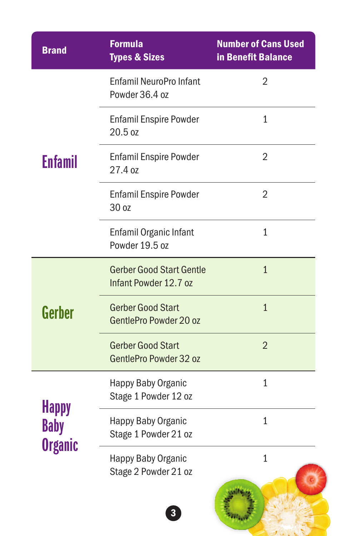| <b>Brand</b>                                  | <b>Formula</b><br><b>Types &amp; Sizes</b>               | <b>Number of Cans Used</b><br>in Benefit Balance |
|-----------------------------------------------|----------------------------------------------------------|--------------------------------------------------|
| Enfamil                                       | <b>Enfamil NeuroPro Infant</b><br>Powder 36.4 oz         | $\overline{2}$                                   |
|                                               | <b>Enfamil Enspire Powder</b><br>20.5 oz                 | 1                                                |
|                                               | <b>Enfamil Enspire Powder</b><br>27.4 oz                 | 2                                                |
|                                               | <b>Enfamil Enspire Powder</b><br>30 oz                   | 2                                                |
|                                               | Enfamil Organic Infant<br>Powder 19.5 oz                 | 1                                                |
| Gerber                                        | <b>Gerber Good Start Gentle</b><br>Infant Powder 12.7 oz | $\mathbf{1}$                                     |
|                                               | <b>Gerber Good Start</b><br>GentlePro Powder 20 oz       | $\overline{1}$                                   |
|                                               | <b>Gerber Good Start</b><br>GentlePro Powder 32 oz       | $\overline{2}$                                   |
| <b>Happy</b><br><b>Baby</b><br><b>Organic</b> | <b>Happy Baby Organic</b><br>Stage 1 Powder 12 oz        | 1                                                |
|                                               | Happy Baby Organic<br>Stage 1 Powder 21 oz               | 1                                                |
|                                               | Happy Baby Organic<br>Stage 2 Powder 21 oz               | $\mathbf{1}$                                     |
|                                               | 3                                                        |                                                  |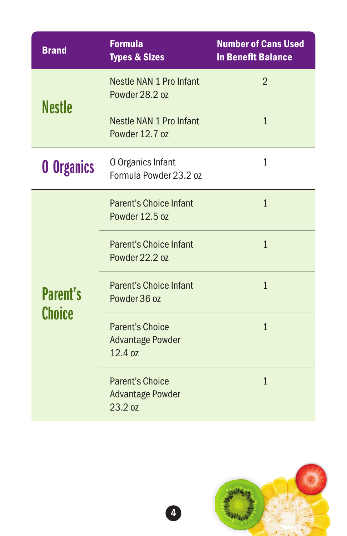| <b>Brand</b>              | <b>Formula</b><br><b>Types &amp; Sizes</b>                   | <b>Number of Cans Used</b><br>in Benefit Balance |
|---------------------------|--------------------------------------------------------------|--------------------------------------------------|
| <b>Nestle</b>             | Nestle NAN 1 Pro Infant<br>Powder 28.2 oz                    | $\overline{2}$                                   |
|                           | Nestle NAN 1 Pro Infant<br>Powder 12.7 oz                    | $\mathbf{1}$                                     |
| <b>0 Organics</b>         | O Organics Infant<br>Formula Powder 23.2 oz                  | 1                                                |
| <b>Parent's</b><br>Choice | <b>Parent's Choice Infant</b><br>Powder 12.5 oz              | $\overline{1}$                                   |
|                           | <b>Parent's Choice Infant</b><br>Powder 22.2 oz              | $\mathbf{1}$                                     |
|                           | <b>Parent's Choice Infant</b><br>Powder 36 oz                | $\mathbf{1}$                                     |
|                           | <b>Parent's Choice</b><br><b>Advantage Powder</b><br>12.4 oz | $\overline{1}$                                   |
|                           | <b>Parent's Choice</b><br><b>Advantage Powder</b><br>23.2 oz | $\overline{1}$                                   |



4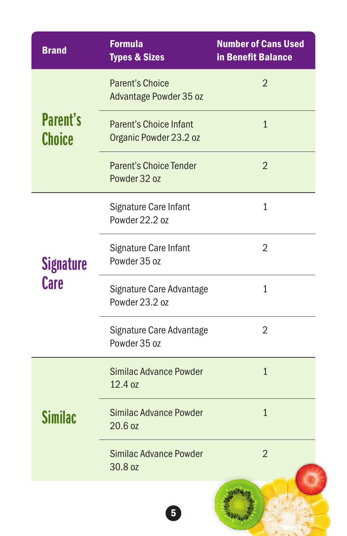| <b>Brand</b>                     | <b>Formula</b><br><b>Types &amp; Sizes</b>              | <b>Number of Cans Used</b><br><b>in Benefit Balance</b> |
|----------------------------------|---------------------------------------------------------|---------------------------------------------------------|
| <b>Parent's</b><br><b>Choice</b> | <b>Parent's Choice</b><br>Advantage Powder 35 oz        | $\overline{2}$                                          |
|                                  | <b>Parent's Choice Infant</b><br>Organic Powder 23.2 oz | $\mathbf{1}$                                            |
|                                  | <b>Parent's Choice Tender</b><br>Powder 32 oz           | $\overline{2}$                                          |
| <b>Signature</b><br><b>Care</b>  | Signature Care Infant<br>Powder 22.2 oz                 | $\mathbf{1}$                                            |
|                                  | Signature Care Infant<br>Powder 35 oz                   | $\overline{2}$                                          |
|                                  | Signature Care Advantage<br>Powder 23.2 oz              | $\mathbf{1}$                                            |
|                                  | Signature Care Advantage<br>Powder 35 oz                | 2                                                       |
| Similac                          | Similac Advance Powder<br>12.4 oz                       | $\overline{1}$                                          |
|                                  | <b>Similac Advance Powder</b><br>$20.6$ oz              | $\mathbf{1}$                                            |
|                                  | Similac Advance Powder<br>30.8 oz                       | $\overline{2}$                                          |
|                                  | 5                                                       |                                                         |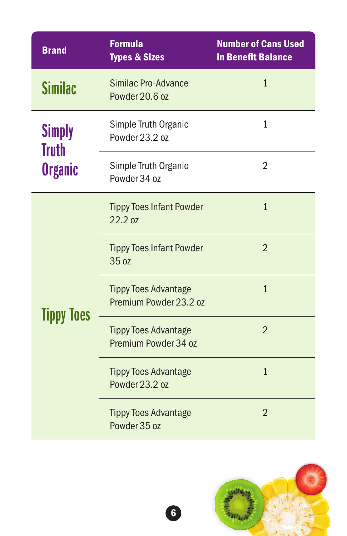| <b>Brand</b>                             | <b>Formula</b><br><b>Types &amp; Sizes</b>            | <b>Number of Cans Used</b><br>in Benefit Balance |
|------------------------------------------|-------------------------------------------------------|--------------------------------------------------|
| <b>Similac</b>                           | Similac Pro-Advance<br>Powder 20.6 oz                 | $\mathbf{1}$                                     |
| <b>Simply</b><br>Truth<br><b>Organic</b> | Simple Truth Organic<br>Powder 23.2 oz                | $\mathbf{1}$                                     |
|                                          | Simple Truth Organic<br>Powder 34 oz                  | $\overline{2}$                                   |
| <b>Tippy Toes</b>                        | <b>Tippy Toes Infant Powder</b><br>22.2 oz            | $\overline{1}$                                   |
|                                          | <b>Tippy Toes Infant Powder</b><br>35 oz              | $\overline{2}$                                   |
|                                          | <b>Tippy Toes Advantage</b><br>Premium Powder 23.2 oz | $\mathbf{1}$                                     |
|                                          | <b>Tippy Toes Advantage</b><br>Premium Powder 34 oz   | $\overline{2}$                                   |
|                                          | <b>Tippy Toes Advantage</b><br>Powder 23.2 oz         | $\mathbf{1}$                                     |
|                                          | <b>Tippy Toes Advantage</b><br>Powder 35 oz           | $\overline{2}$                                   |



6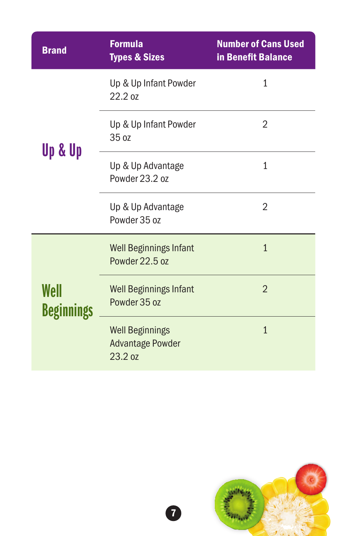| <b>Brand</b>              | <b>Formula</b><br><b>Types &amp; Sizes</b>                   | <b>Number of Cans Used</b><br>in Benefit Balance |
|---------------------------|--------------------------------------------------------------|--------------------------------------------------|
| Up & Up                   | Up & Up Infant Powder<br>22.2 oz                             | 1                                                |
|                           | Up & Up Infant Powder<br>35 oz                               | 2                                                |
|                           | Up & Up Advantage<br>Powder 23.2 oz                          | $\overline{1}$                                   |
|                           | Up & Up Advantage<br>Powder 35 oz                            | $\overline{2}$                                   |
| Well<br><b>Beginnings</b> | <b>Well Beginnings Infant</b><br>Powder 22.5 oz              | $\overline{1}$                                   |
|                           | <b>Well Beginnings Infant</b><br>Powder 35 oz                | $\overline{2}$                                   |
|                           | <b>Well Beginnings</b><br><b>Advantage Powder</b><br>23.2 oz | $\overline{1}$                                   |



7